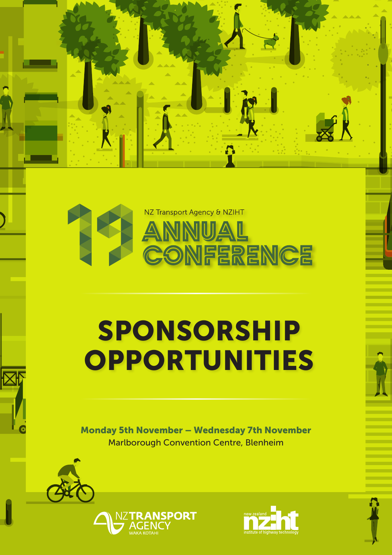

**A** 

# SPONSORSHIP **OPPORTUNITIES**

Monday 5th November – Wednesday 7th November Marlborough Convention Centre, Blenheim





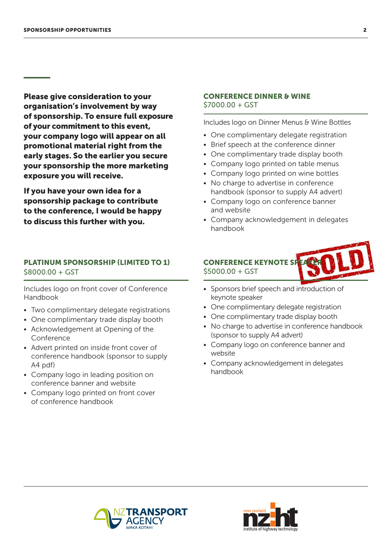Please give consideration to your organisation's involvement by way of sponsorship. To ensure full exposure of your commitment to this event, your company logo will appear on all promotional material right from the early stages. So the earlier you secure your sponsorship the more marketing exposure you will receive.

If you have your own idea for a sponsorship package to contribute to the conference, I would be happy to discuss this further with you.

## PLATINUM SPONSORSHIP (LIMITED TO 1) \$8000.00 + GST

Includes logo on front cover of Conference Handbook

- Two complimentary delegate registrations
- One complimentary trade display booth
- Acknowledgement at Opening of the Conference
- Advert printed on inside front cover of conference handbook (sponsor to supply A4 pdf)
- Company logo in leading position on conference banner and website
- Company logo printed on front cover of conference handbook

#### CONFERENCE DINNER & WINE \$7000.00 + GST

Includes logo on Dinner Menus & Wine Bottles

- One complimentary delegate registration
- Brief speech at the conference dinner
- One complimentary trade display booth
- Company logo printed on table menus
- Company logo printed on wine bottles
- No charge to advertise in conference handbook (sponsor to supply A4 advert)
- Company logo on conference banner and website
- Company acknowledgement in delegates handbook

# **CONFERENCE KEYNOTE S** \$5000.00 + GST

- Sponsors brief speech and introduction of keynote speaker
- One complimentary delegate registration
- One complimentary trade display booth
- No charge to advertise in conference handbook (sponsor to supply A4 advert)
- Company logo on conference banner and website
- Company acknowledgement in delegates handbook



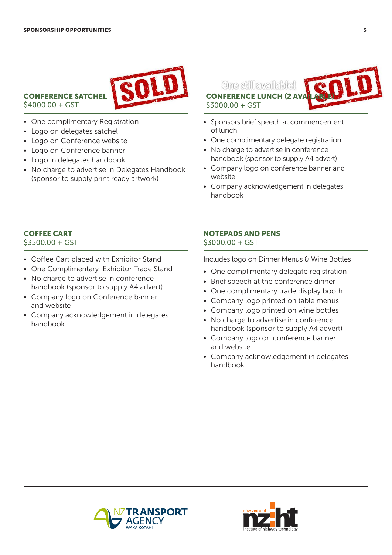

CONFERENCE SATCHEL \$4000.00 + GST

- One complimentary Registration
- Logo on delegates satchel
- Logo on Conference website
- Logo on Conference banner
- Logo in delegates handbook
- No charge to advertise in Delegates Handbook (sponsor to supply print ready artwork)

One still available! **CONFERENCE LUNCH (2 AV** \$3000.00 + GST

- Sponsors brief speech at commencement of lunch
- One complimentary delegate registration
- No charge to advertise in conference handbook (sponsor to supply A4 advert)
- Company logo on conference banner and website
- Company acknowledgement in delegates handbook

# COFFEE CART

\$3500.00 + GST

- Coffee Cart placed with Exhibitor Stand
- One Complimentary Exhibitor Trade Stand
- No charge to advertise in conference handbook (sponsor to supply A4 advert)
- Company logo on Conference banner and website
- Company acknowledgement in delegates handbook

# NOTEPADS AND PENS \$3000.00 + GST

Includes logo on Dinner Menus & Wine Bottles

- One complimentary delegate registration
- Brief speech at the conference dinner
- One complimentary trade display booth
- Company logo printed on table menus
- Company logo printed on wine bottles
- No charge to advertise in conference handbook (sponsor to supply A4 advert)
- Company logo on conference banner and website
- Company acknowledgement in delegates handbook



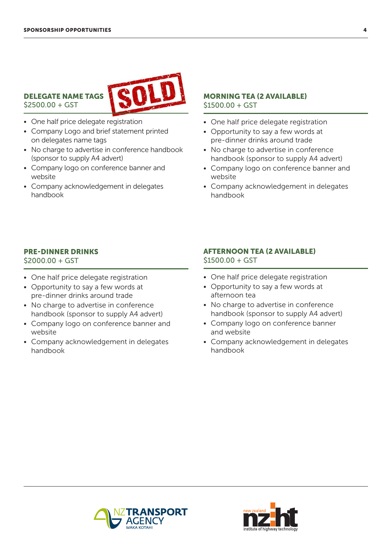\$2500.00 + GST



#### • One half price delegate registration

- Company Logo and brief statement printed on delegates name tags
- No charge to advertise in conference handbook (sponsor to supply A4 advert)
- Company logo on conference banner and website
- Company acknowledgement in delegates handbook

#### MORNING TEA (2 AVAILABLE)  $$1500.00 + GST$

- One half price delegate registration
- Opportunity to say a few words at pre-dinner drinks around trade
- No charge to advertise in conference handbook (sponsor to supply A4 advert)
- Company logo on conference banner and website
- Company acknowledgement in delegates handbook

#### PRE-DINNER DRINKS

 $$2000.00 + GST$ 

- One half price delegate registration
- Opportunity to say a few words at pre-dinner drinks around trade
- No charge to advertise in conference handbook (sponsor to supply A4 advert)
- Company logo on conference banner and website
- Company acknowledgement in delegates handbook

# AFTERNOON TEA (2 AVAILABLE) \$1500.00 + GST

- One half price delegate registration
- Opportunity to say a few words at afternoon tea
- No charge to advertise in conference handbook (sponsor to supply A4 advert)
- Company logo on conference banner and website
- Company acknowledgement in delegates handbook